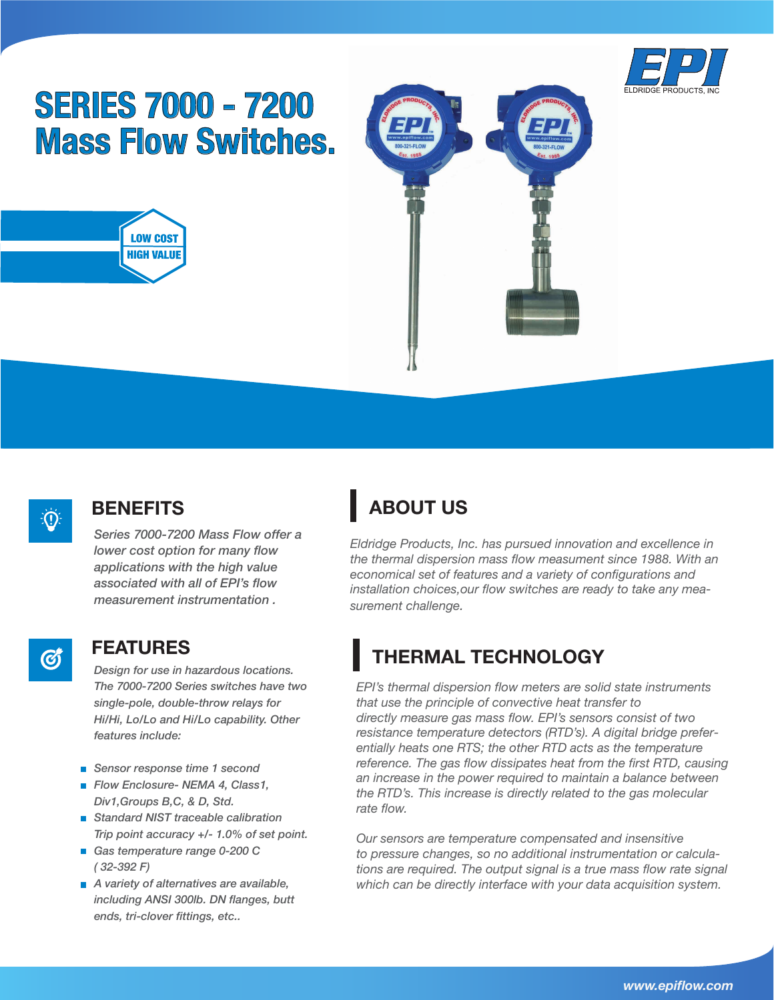

# **SERIES 7000 - 7200 Mass Flow Switches.**







Ø

#### **BENEFITS**

*Series 7000-7200 Mass Flow offer a lower cost option for many flow applications with the high value associated with all of EPI's flow measurement instrumentation .* 

#### **FEATURES**

*Design for use in hazardous locations. The 7000-7200 Series switches have two single-pole, double-throw relays for Hi/Hi, Lo/Lo and Hi/Lo capability. Other features include:*

- *Sensor response time 1 second*
- *Flow Enclosure- NEMA 4, Class1, Div1,Groups B,C, & D, Std.*
- *Standard NIST traceable calibration Trip point accuracy +/- 1.0% of set point.*
- *Gas temperature range 0-200 C ( 32-392 F)*
- *A variety of alternatives are available, including ANSI 300lb. DN flanges, butt ends, tri-clover fittings, etc..*

## **ABOUT US**

*Eldridge Products, Inc. has pursued innovation and excellence in the thermal dispersion mass flow measument since 1988. With an economical set of features and a variety of configurations and installation choices,our flow switches are ready to take any measurement challenge.*

## **THERMAL TECHNOLOGY**

*EPI's thermal dispersion flow meters are solid state instruments that use the principle of convective heat transfer to directly measure gas mass flow. EPI's sensors consist of two resistance temperature detectors (RTD's). A digital bridge preferentially heats one RTS; the other RTD acts as the temperature reference. The gas flow dissipates heat from the first RTD, causing an increase in the power required to maintain a balance between the RTD's. This increase is directly related to the gas molecular rate flow.*

*Our sensors are temperature compensated and insensitive to pressure changes, so no additional instrumentation or calculations are required. The output signal is a true mass flow rate signal which can be directly interface with your data acquisition system.*

*www.epiflow.com*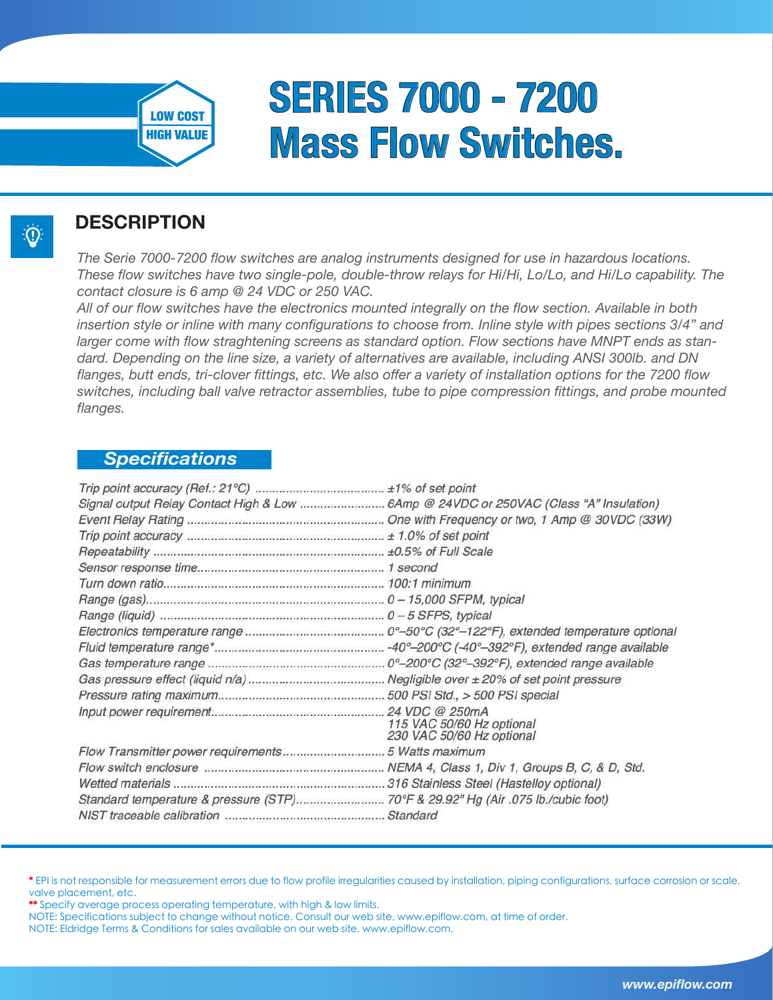

 $\left( 0\right)$ 

# **SERIES 7000 - 7200 Mass Flow Switches.**

#### **DESCRIPTION**

*The Serie 7000-7200 flow switches are analog instruments designed for use in hazardous locations. These flow switches have two single-pole, double-throw relays for Hi/Hi, Lo/Lo, and Hi/Lo capability. The contact closure is 6 amp @ 24 VDC or 250 VAC.*

*All of our flow switches have the electronics mounted integrally on the flow section. Available in both insertion style or inline with many configurations to choose from. Inline style with pipes sections 3/4" and larger come with flow straghtening screens as standard option. Flow sections have MNPT ends as standard. Depending on the line size, a variety of alternatives are available, including ANSI 300lb. and DN flanges, butt ends, tri-clover fittings, etc. We also offer a variety of installation options for the 7200 flow switches, including ball valve retractor assemblies, tube to pipe compression fittings, and probe mounted flanges.* 

#### *Specifications*

| Signal output Relay Contact High & Low 6Amp @ 24VDC or 250VAC (Class "A" Insulation) |                           |
|--------------------------------------------------------------------------------------|---------------------------|
|                                                                                      |                           |
|                                                                                      |                           |
|                                                                                      |                           |
|                                                                                      |                           |
|                                                                                      |                           |
|                                                                                      |                           |
|                                                                                      |                           |
|                                                                                      |                           |
|                                                                                      |                           |
|                                                                                      |                           |
|                                                                                      |                           |
|                                                                                      |                           |
|                                                                                      |                           |
|                                                                                      | 115 VAC 50/60 Hz optional |
|                                                                                      | 230 VAC 50/60 Hz optional |
|                                                                                      |                           |
|                                                                                      |                           |
|                                                                                      |                           |
| Standard temperature & pressure (STP) 70°F & 29.92" Hg (Air .075 lb./cubic foot)     |                           |
|                                                                                      |                           |

<sup>\*</sup> EPI is not responsible for measurement errors due to flow profile irregularities caused by installation, piping configurations, surface corrosion or scale, valve placement, etc.

\*\* Specify average process operating temperature, with high & low limits.

NOTE: Eldridge Terms & Conditions for sales available on our web site, www.epiflow.com.

NOTE: Specifications subject to change without notice. Consult our web site, www.epiflow.com, at time of order.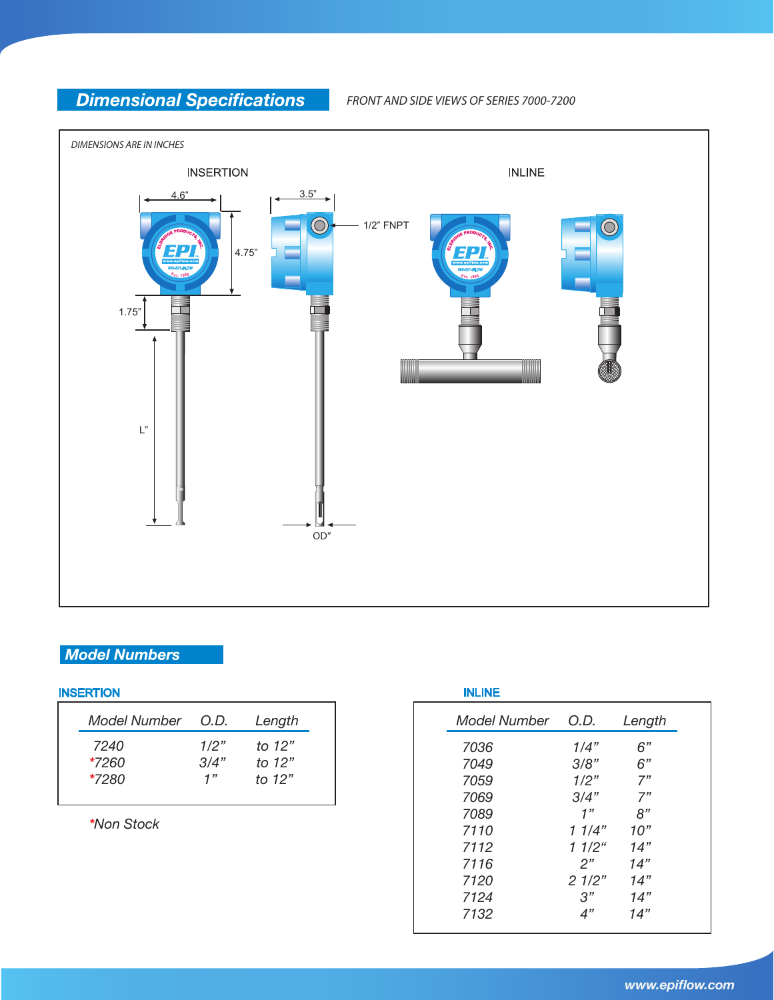### **Dimensional Specifications**

*FRONT AND SIDE VIEWS OF SERIES 7000-7200*



#### **Model Numbers**

#### **INSERTION**

| Model Number | O.D. | Length   |
|--------------|------|----------|
| 7240         | 1/2" | to 12"   |
| $*7260$      | 3/4" | to $12"$ |
| $*7280$      | 1"   | to 12"   |

*\*Non Stock*

| <b>INLINE</b> |                   |        |
|---------------|-------------------|--------|
| Model Number  | O.D.              | Length |
| 7036          | 1/4"              | 6"     |
| 7049          | 3/8"              | 6"     |
| 7059          | 1/2"              | 7"     |
| 7069          | 3/4"              | 7"     |
| 7089          | 1"                | 8"     |
| 7110          | 1 1/4"            | 10"    |
| 7112          | 11/2 <sup>u</sup> | 14"    |
| 7116          | 2"                | 14"    |
| 7120          | 21/2"             | 14"    |
| 7124          | 3"                | 14"    |
| 7132          | 4"                | 14"    |
|               |                   |        |